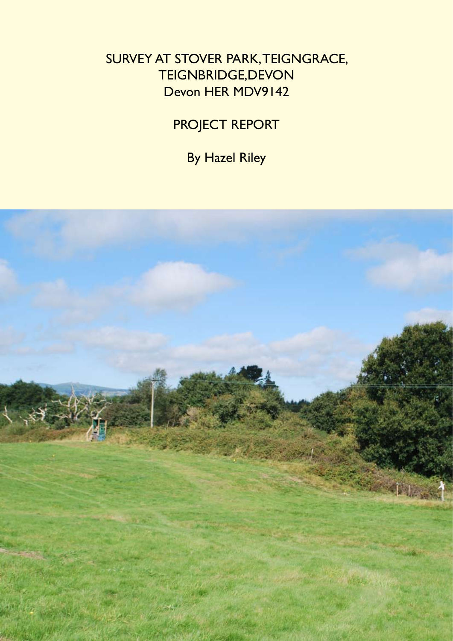### SURVEY AT STOVER PARK, TEIGNGRACE, TEIGNBRIDGE,DEVON Devon HER MDV9142

# PROJECT REPORT

By Hazel Riley

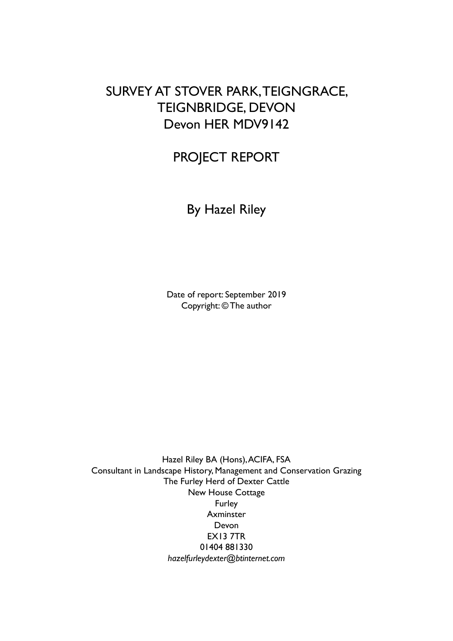### SURVEY AT STOVER PARK, TEIGNGRACE, TEIGNBRIDGE, DEVON Devon HER MDV9142

## PROJECT REPORT

By Hazel Riley

Date of report: September 2019 Copyright: © The author

Hazel Riley BA (Hons), ACIFA, FSA Consultant in Landscape History, Management and Conservation Grazing The Furley Herd of Dexter Cattle New House Cottage Furley **Axminster** Devon EX13 7TR 01404 881330 *hazelfurleydexter@btinternet.com*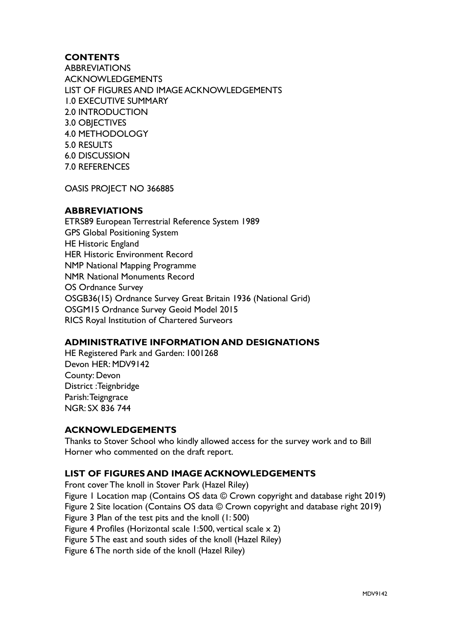#### **CONTENTS**

**ABBREVIATIONS** ACKNOWLEDGEMENTS LIST OF FIGURES AND IMAGE ACKNOWLEDGEMENTS 1.0 EXECUTIVE SUMMARY 2.0 INTRODUCTION 3.0 OBJECTIVES 4.0 METHODOLOGY 5.0 RESULTS 6.0 DISCUSSION 7.0 REFERENCES

OASIS PROJECT NO 366885

#### **ABBREVIATIONS**

ETRS89 European Terrestrial Reference System 1989 GPS Global Positioning System HE Historic England HER Historic Environment Record NMP National Mapping Programme NMR National Monuments Record OS Ordnance Survey OSGB36(15) Ordnance Survey Great Britain 1936 (National Grid) OSGM15 Ordnance Survey Geoid Model 2015 RICS Royal Institution of Chartered Surveors

#### **ADMINISTRATIVE INFORMATION AND DESIGNATIONS**

HE Registered Park and Garden: 1001268 Devon HER: MDV9142 County: Devon District :Teignbridge Parish: Teigngrace NGR: SX 836 744

#### **ACKNOWLEDGEMENTS**

Thanks to Stover School who kindly allowed access for the survey work and to Bill Horner who commented on the draft report.

#### **LIST OF FIGURES AND IMAGE ACKNOWLEDGEMENTS**

Front cover The knoll in Stover Park (Hazel Riley)

Figure 1 Location map (Contains OS data © Crown copyright and database right 2019)

Figure 2 Site location (Contains OS data © Crown copyright and database right 2019)

Figure 3 Plan of the test pits and the knoll (1: 500)

Figure 4 Profiles (Horizontal scale 1:500, vertical scale x 2)

Figure 5 The east and south sides of the knoll (Hazel Riley)

Figure 6 The north side of the knoll (Hazel Riley)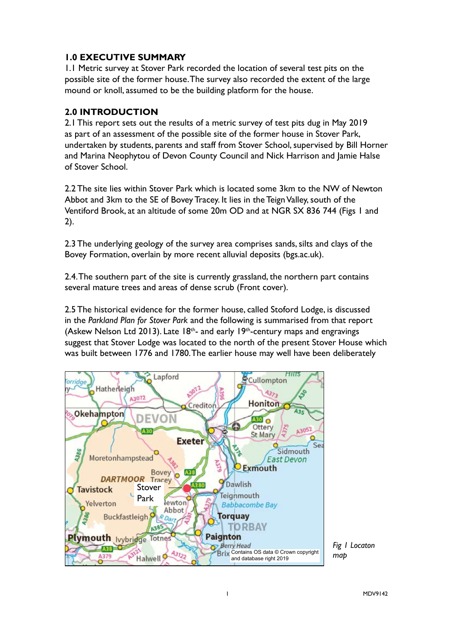#### **1.0 EXECUTIVE SUMMARY**

1.1 Metric survey at Stover Park recorded the location of several test pits on the possible site of the former house. The survey also recorded the extent of the large mound or knoll, assumed to be the building platform for the house.

#### **2.0 INTRODUCTION**

2.1 This report sets out the results of a metric survey of test pits dug in May 2019 as part of an assessment of the possible site of the former house in Stover Park, undertaken by students, parents and staff from Stover School, supervised by Bill Horner and Marina Neophytou of Devon County Council and Nick Harrison and Jamie Halse of Stover School.

2.2 The site lies within Stover Park which is located some 3km to the NW of Newton Abbot and 3km to the SE of Bovey Tracey. It lies in the Teign Valley, south of the Ventiford Brook, at an altitude of some 20m OD and at NGR SX 836 744 (Figs 1 and 2).

2.3 The underlying geology of the survey area comprises sands, silts and clays of the Bovey Formation, overlain by more recent alluvial deposits (bgs.ac.uk).

2.4. The southern part of the site is currently grassland, the northern part contains several mature trees and areas of dense scrub (Front cover).

2.5 The historical evidence for the former house, called Stoford Lodge, is discussed in the *Parkland Plan for Stover Park* and the following is summarised from that report (Askew Nelson Ltd 2013). Late  $18<sup>th</sup>$ - and early 19<sup>th</sup>-century maps and engravings suggest that Stover Lodge was located to the north of the present Stover House which was built between 1776 and 1780. The earlier house may well have been deliberately



*Fig 1 Locaton map*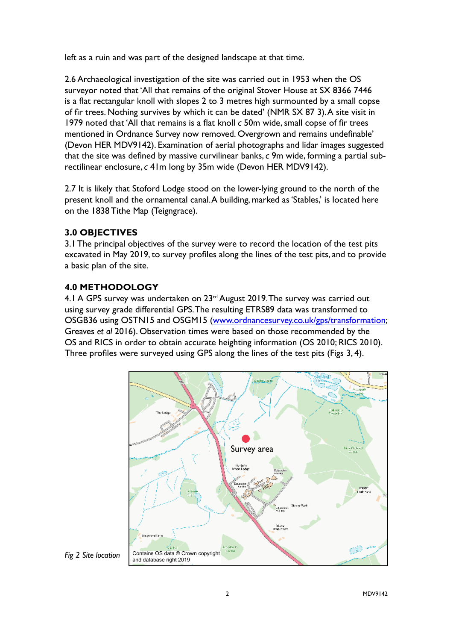left as a ruin and was part of the designed landscape at that time.

2.6 Archaeological investigation of the site was carried out in 1953 when the OS surveyor noted that 'All that remains of the original Stover House at SX 8366 7446 is a flat rectangular knoll with slopes 2 to 3 metres high surmounted by a small copse of fir trees. Nothing survives by which it can be dated' (NMR SX 87 3). A site visit in 1979 noted that 'All that remains is a flat knoll *c* 50m wide, small copse of fir trees mentioned in Ordnance Survey now removed. Overgrown and remains undefinable' (Devon HER MDV9142). Examination of aerial photographs and lidar images suggested that the site was defined by massive curvilinear banks, *c* 9m wide, forming a partial subrectilinear enclosure, *c* 41m long by 35m wide (Devon HER MDV9142).

2.7 It is likely that Stoford Lodge stood on the lower-lying ground to the north of the present knoll and the ornamental canal. A building, marked as 'Stables,' is located here on the 1838 Tithe Map (Teigngrace).

#### **3.0 OBJECTIVES**

3.1 The principal objectives of the survey were to record the location of the test pits excavated in May 2019, to survey profiles along the lines of the test pits, and to provide a basic plan of the site.

#### **4.0 METHODOLOGY**

4.1 A GPS survey was undertaken on 23rd August 2019. The survey was carried out using survey grade differential GPS. The resulting ETRS89 data was transformed to OSGB36 using OSTN15 and OSGM15 (www.ordnancesurvey.co.uk/gps/transformation; Greaves *et al* 2016). Observation times were based on those recommended by the OS and RICS in order to obtain accurate heighting information (OS 2010; RICS 2010). Three profiles were surveyed using GPS along the lines of the test pits (Figs 3, 4).



*Fig 2 Site location*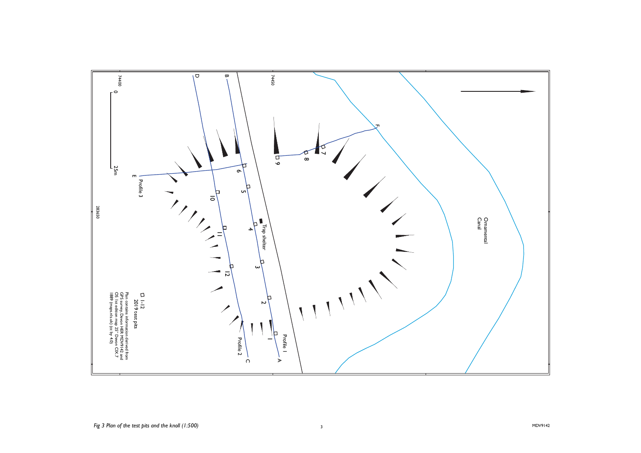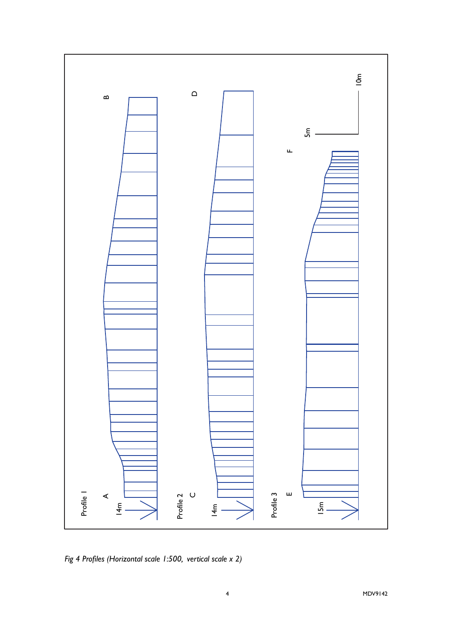

*Fig 4 Profiles (Horizontal scale 1:500, vertical scale x 2)*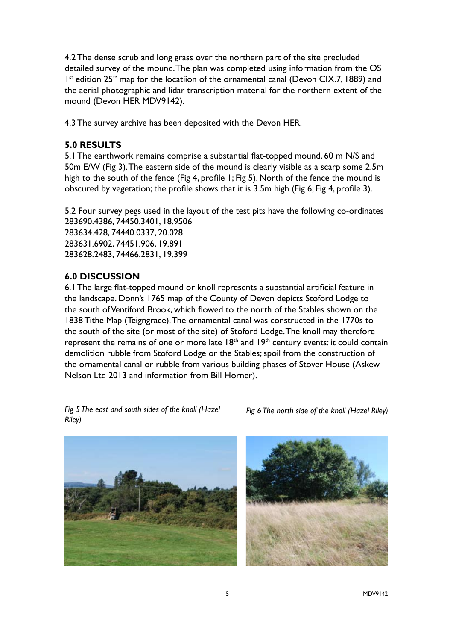4.2 The dense scrub and long grass over the northern part of the site precluded detailed survey of the mound. The plan was completed using information from the OS  $1<sup>st</sup>$  edition 25" map for the locatiion of the ornamental canal (Devon CIX.7, 1889) and the aerial photographic and lidar transcription material for the northern extent of the mound (Devon HER MDV9142).

4.3 The survey archive has been deposited with the Devon HER.

#### **5.0 RESULTS**

5.1 The earthwork remains comprise a substantial flat-topped mound, 60 m N/S and 50m E/W (Fig 3). The eastern side of the mound is clearly visible as a scarp some 2.5m high to the south of the fence (Fig 4, profile 1; Fig 5). North of the fence the mound is obscured by vegetation; the profile shows that it is 3.5m high (Fig 6; Fig 4, profile 3).

5.2 Four survey pegs used in the layout of the test pits have the following co-ordinates 283690.4386, 74450.3401, 18.9506 283634.428, 74440.0337, 20.028 283631.6902, 74451.906, 19.891 283628.2483, 74466.2831, 19.399

#### **6.0 DISCUSSION**

6.1 The large flat-topped mound or knoll represents a substantial artificial feature in the landscape. Donn's 1765 map of the County of Devon depicts Stoford Lodge to the south of Ventiford Brook, which flowed to the north of the Stables shown on the 1838 Tithe Map (Teigngrace). The ornamental canal was constructed in the 1770s to the south of the site (or most of the site) of Stoford Lodge. The knoll may therefore represent the remains of one or more late  $18<sup>th</sup>$  and  $19<sup>th</sup>$  century events: it could contain demolition rubble from Stoford Lodge or the Stables; spoil from the construction of the ornamental canal or rubble from various building phases of Stover House (Askew Nelson Ltd 2013 and information from Bill Horner).

*Fig 5 The east and south sides of the knoll (Hazel Riley)*

*Fig 6 The north side of the knoll (Hazel Riley)*